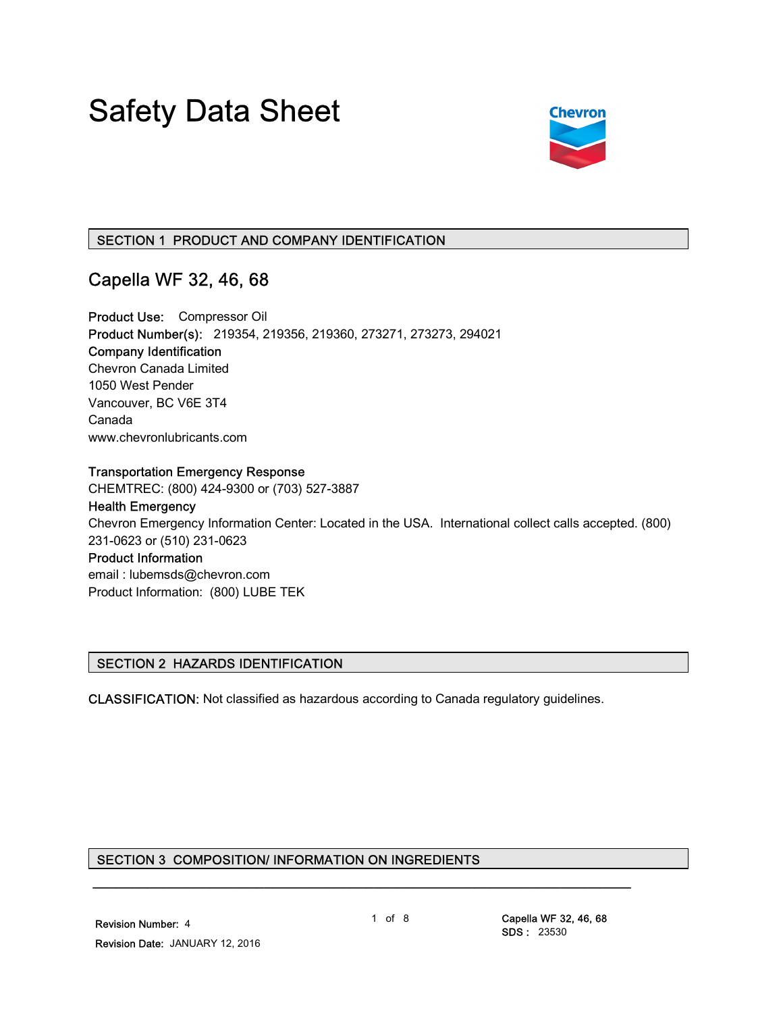# Safety Data Sheet



# SECTION 1 PRODUCT AND COMPANY IDENTIFICATION

# Capella WF 32, 46, 68

Product Use: Compressor Oil Product Number(s): 219354, 219356, 219360, 273271, 273273, 294021 Company Identification Chevron Canada Limited 1050 West Pender Vancouver, BC V6E 3T4 Canada www.chevronlubricants.com

#### Transportation Emergency Response

CHEMTREC: (800) 424-9300 or (703) 527-3887

# Health Emergency

Chevron Emergency Information Center: Located in the USA. International collect calls accepted. (800) 231-0623 or (510) 231-0623

# Product Information

email : lubemsds@chevron.com Product Information: (800) LUBE TEK

#### SECTION 2 HAZARDS IDENTIFICATION

CLASSIFICATION: Not classified as hazardous according to Canada regulatory guidelines.

# SECTION 3 COMPOSITION/ INFORMATION ON INGREDIENTS

\_\_\_\_\_\_\_\_\_\_\_\_\_\_\_\_\_\_\_\_\_\_\_\_\_\_\_\_\_\_\_\_\_\_\_\_\_\_\_\_\_\_\_\_\_\_\_\_\_\_\_\_\_\_\_\_\_\_\_\_\_\_\_\_\_\_\_\_\_

1 of 8 Capella WF 32, 46, 68 SDS : 23530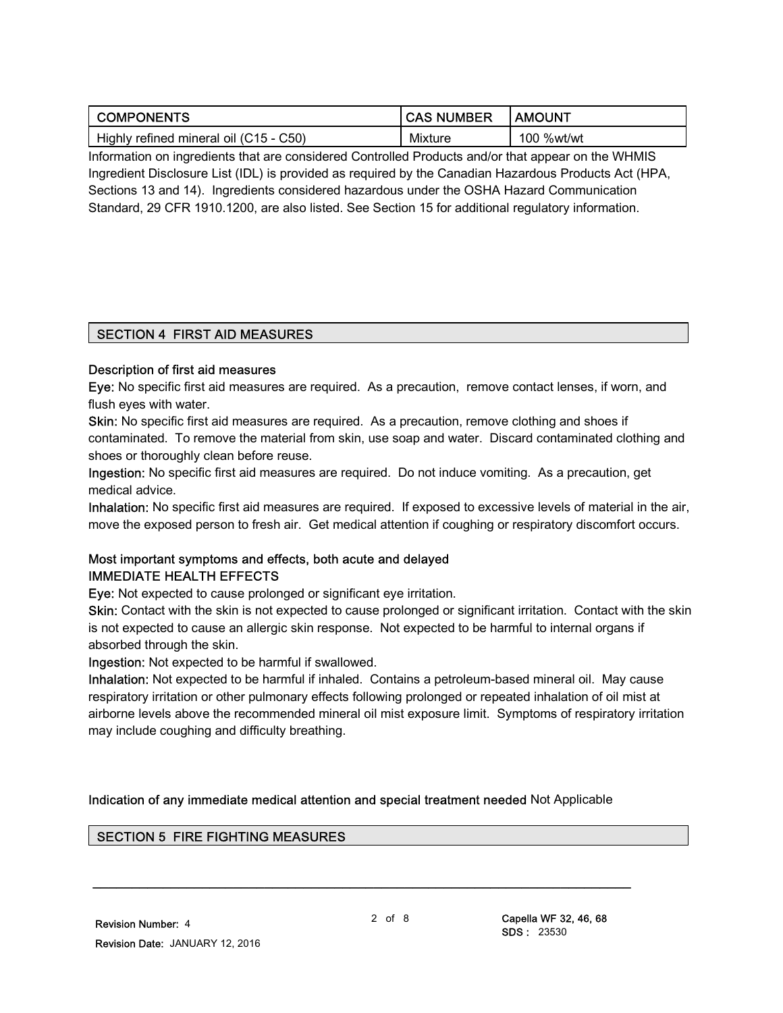| <b>COMPONENTS</b>                      | <b>CAS NUMBER</b> | <b>I AMOUNT</b> |
|----------------------------------------|-------------------|-----------------|
| Highly refined mineral oil (C15 - C50) | Mixture           | 100 %wt/wt      |

Information on ingredients that are considered Controlled Products and/or that appear on the WHMIS Ingredient Disclosure List (IDL) is provided as required by the Canadian Hazardous Products Act (HPA, Sections 13 and 14). Ingredients considered hazardous under the OSHA Hazard Communication Standard, 29 CFR 1910.1200, are also listed. See Section 15 for additional regulatory information.

# SECTION 4 FIRST AID MEASURES

#### Description of first aid measures

Eye: No specific first aid measures are required. As a precaution, remove contact lenses, if worn, and flush eyes with water.

Skin: No specific first aid measures are required. As a precaution, remove clothing and shoes if contaminated. To remove the material from skin, use soap and water. Discard contaminated clothing and shoes or thoroughly clean before reuse.

Ingestion: No specific first aid measures are required. Do not induce vomiting. As a precaution, get medical advice.

Inhalation: No specific first aid measures are required. If exposed to excessive levels of material in the air, move the exposed person to fresh air. Get medical attention if coughing or respiratory discomfort occurs.

# Most important symptoms and effects, both acute and delayed IMMEDIATE HEALTH EFFECTS

Eye: Not expected to cause prolonged or significant eye irritation.

Skin: Contact with the skin is not expected to cause prolonged or significant irritation. Contact with the skin is not expected to cause an allergic skin response. Not expected to be harmful to internal organs if absorbed through the skin.

Ingestion: Not expected to be harmful if swallowed.

Inhalation: Not expected to be harmful if inhaled. Contains a petroleum-based mineral oil. May cause respiratory irritation or other pulmonary effects following prolonged or repeated inhalation of oil mist at airborne levels above the recommended mineral oil mist exposure limit. Symptoms of respiratory irritation may include coughing and difficulty breathing.

Indication of any immediate medical attention and special treatment needed Not Applicable

\_\_\_\_\_\_\_\_\_\_\_\_\_\_\_\_\_\_\_\_\_\_\_\_\_\_\_\_\_\_\_\_\_\_\_\_\_\_\_\_\_\_\_\_\_\_\_\_\_\_\_\_\_\_\_\_\_\_\_\_\_\_\_\_\_\_\_\_\_

# SECTION 5 FIRE FIGHTING MEASURES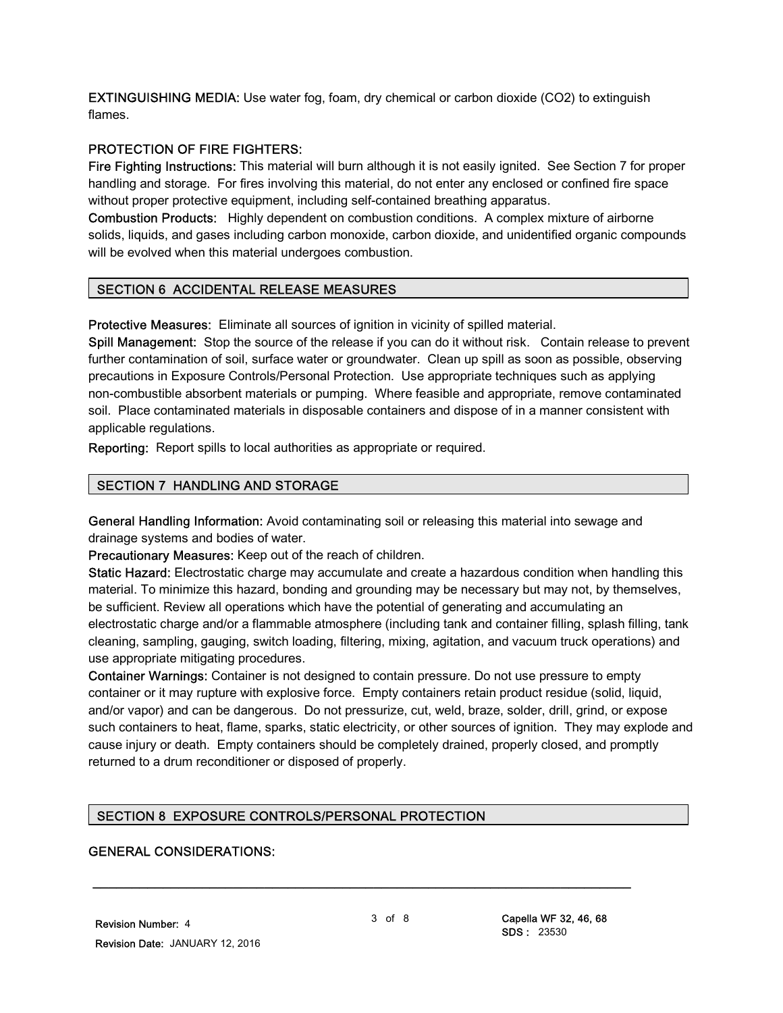EXTINGUISHING MEDIA: Use water fog, foam, dry chemical or carbon dioxide (CO2) to extinguish flames.

# PROTECTION OF FIRE FIGHTERS:

Fire Fighting Instructions: This material will burn although it is not easily ignited. See Section 7 for proper handling and storage. For fires involving this material, do not enter any enclosed or confined fire space without proper protective equipment, including self-contained breathing apparatus.

Combustion Products: Highly dependent on combustion conditions. A complex mixture of airborne solids, liquids, and gases including carbon monoxide, carbon dioxide, and unidentified organic compounds will be evolved when this material undergoes combustion.

# SECTION 6 ACCIDENTAL RELEASE MEASURES

Protective Measures: Eliminate all sources of ignition in vicinity of spilled material.

Spill Management: Stop the source of the release if you can do it without risk. Contain release to prevent further contamination of soil, surface water or groundwater. Clean up spill as soon as possible, observing precautions in Exposure Controls/Personal Protection. Use appropriate techniques such as applying non-combustible absorbent materials or pumping. Where feasible and appropriate, remove contaminated soil. Place contaminated materials in disposable containers and dispose of in a manner consistent with applicable regulations.

Reporting: Report spills to local authorities as appropriate or required.

# SECTION 7 HANDLING AND STORAGE

General Handling Information: Avoid contaminating soil or releasing this material into sewage and drainage systems and bodies of water.

Precautionary Measures: Keep out of the reach of children.

Static Hazard: Electrostatic charge may accumulate and create a hazardous condition when handling this material. To minimize this hazard, bonding and grounding may be necessary but may not, by themselves, be sufficient. Review all operations which have the potential of generating and accumulating an electrostatic charge and/or a flammable atmosphere (including tank and container filling, splash filling, tank cleaning, sampling, gauging, switch loading, filtering, mixing, agitation, and vacuum truck operations) and use appropriate mitigating procedures.

Container Warnings: Container is not designed to contain pressure. Do not use pressure to empty container or it may rupture with explosive force. Empty containers retain product residue (solid, liquid, and/or vapor) and can be dangerous. Do not pressurize, cut, weld, braze, solder, drill, grind, or expose such containers to heat, flame, sparks, static electricity, or other sources of ignition. They may explode and cause injury or death. Empty containers should be completely drained, properly closed, and promptly returned to a drum reconditioner or disposed of properly.

# SECTION 8 EXPOSURE CONTROLS/PERSONAL PROTECTION

# GENERAL CONSIDERATIONS: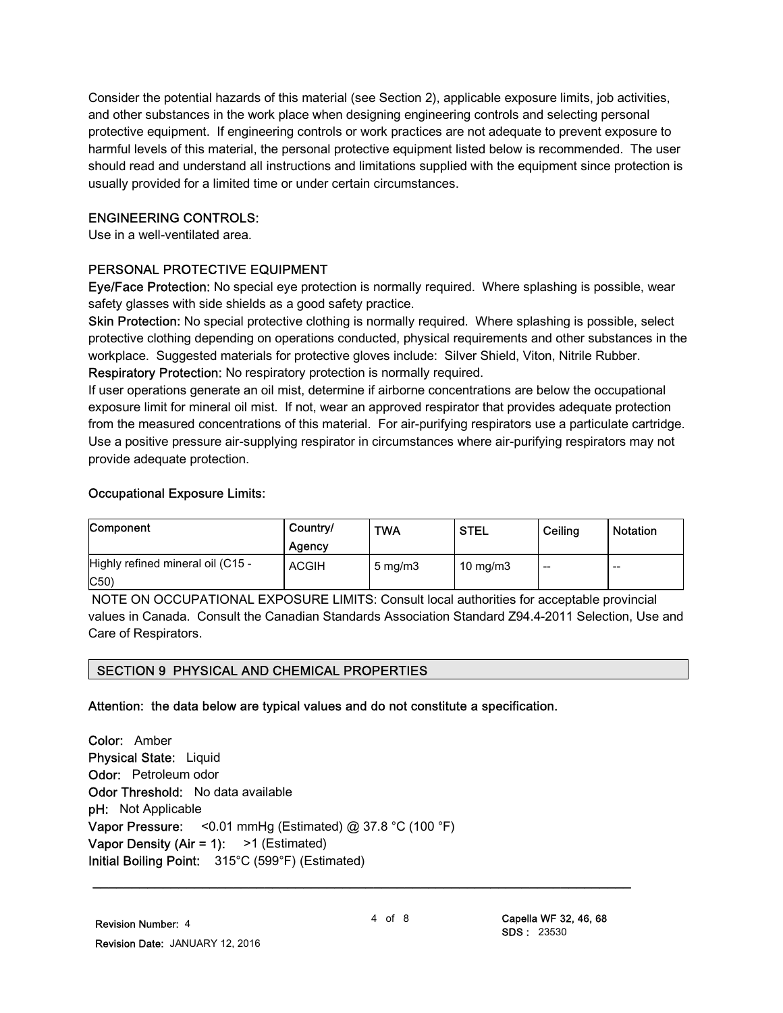Consider the potential hazards of this material (see Section 2), applicable exposure limits, job activities, and other substances in the work place when designing engineering controls and selecting personal protective equipment. If engineering controls or work practices are not adequate to prevent exposure to harmful levels of this material, the personal protective equipment listed below is recommended. The user should read and understand all instructions and limitations supplied with the equipment since protection is usually provided for a limited time or under certain circumstances.

#### ENGINEERING CONTROLS:

Use in a well-ventilated area.

#### PERSONAL PROTECTIVE EQUIPMENT

Eye/Face Protection: No special eye protection is normally required. Where splashing is possible, wear safety glasses with side shields as a good safety practice.

Skin Protection: No special protective clothing is normally required. Where splashing is possible, select protective clothing depending on operations conducted, physical requirements and other substances in the workplace. Suggested materials for protective gloves include: Silver Shield, Viton, Nitrile Rubber. Respiratory Protection: No respiratory protection is normally required.

If user operations generate an oil mist, determine if airborne concentrations are below the occupational exposure limit for mineral oil mist. If not, wear an approved respirator that provides adequate protection from the measured concentrations of this material. For air-purifying respirators use a particulate cartridge. Use a positive pressure air-supplying respirator in circumstances where air-purifying respirators may not provide adequate protection.

#### Occupational Exposure Limits:

| Component                                | Country/<br>Agency | <b>TWA</b>          | <b>STEL</b>       | Ceiling | Notation                 |
|------------------------------------------|--------------------|---------------------|-------------------|---------|--------------------------|
| Highly refined mineral oil (C15 -<br>C50 | <b>ACGIH</b>       | $5 \,\mathrm{mq/m}$ | $10 \text{ mg/m}$ | $- -$   | $\overline{\phantom{m}}$ |

 NOTE ON OCCUPATIONAL EXPOSURE LIMITS: Consult local authorities for acceptable provincial values in Canada. Consult the Canadian Standards Association Standard Z94.4-2011 Selection, Use and Care of Respirators.

#### SECTION 9 PHYSICAL AND CHEMICAL PROPERTIES

#### Attention: the data below are typical values and do not constitute a specification.

Color: Amber Physical State: Liquid Odor: Petroleum odor Odor Threshold: No data available pH: Not Applicable Vapor Pressure: <  $0.01$  mmHg (Estimated) @ 37.8 °C (100 °F) Vapor Density (Air = 1):  $>1$  (Estimated) Initial Boiling Point: 315°C (599°F) (Estimated)

\_\_\_\_\_\_\_\_\_\_\_\_\_\_\_\_\_\_\_\_\_\_\_\_\_\_\_\_\_\_\_\_\_\_\_\_\_\_\_\_\_\_\_\_\_\_\_\_\_\_\_\_\_\_\_\_\_\_\_\_\_\_\_\_\_\_\_\_\_

4 of 8 Capella WF 32, 46, 68 SDS : 23530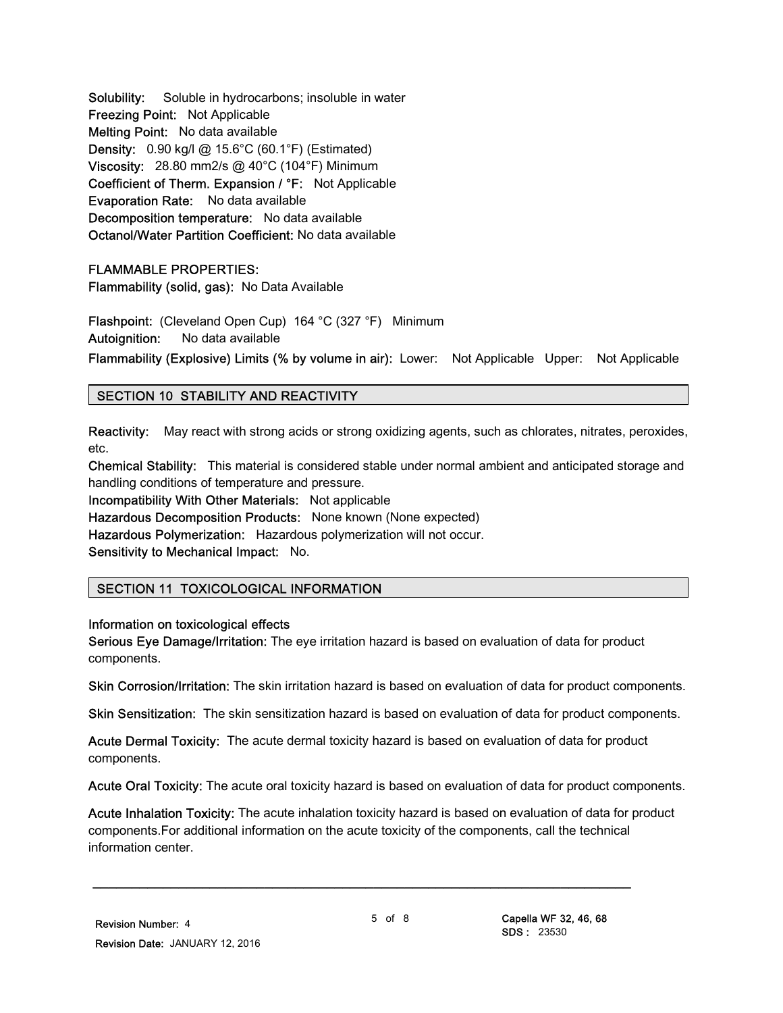Solubility: Soluble in hydrocarbons; insoluble in water Freezing Point: Not Applicable Melting Point: No data available Density: 0.90 kg/l @ 15.6°C (60.1°F) (Estimated) Viscosity: 28.80 mm2/s @ 40°C (104°F) Minimum Coefficient of Therm. Expansion / °F: Not Applicable Evaporation Rate: No data available Decomposition temperature: No data available Octanol/Water Partition Coefficient: No data available

FLAMMABLE PROPERTIES: Flammability (solid, gas): No Data Available

Flashpoint: (Cleveland Open Cup) 164 °C (327 °F) Minimum Autoignition: No data available

Flammability (Explosive) Limits (% by volume in air): Lower: Not Applicable Upper: Not Applicable

# SECTION 10 STABILITY AND REACTIVITY

Reactivity: May react with strong acids or strong oxidizing agents, such as chlorates, nitrates, peroxides, etc.

Chemical Stability: This material is considered stable under normal ambient and anticipated storage and handling conditions of temperature and pressure.

Incompatibility With Other Materials: Not applicable Hazardous Decomposition Products: None known (None expected)

Hazardous Polymerization: Hazardous polymerization will not occur.

Sensitivity to Mechanical Impact: No.

# SECTION 11 TOXICOLOGICAL INFORMATION

Information on toxicological effects

Serious Eye Damage/Irritation: The eye irritation hazard is based on evaluation of data for product components.

Skin Corrosion/Irritation: The skin irritation hazard is based on evaluation of data for product components.

Skin Sensitization: The skin sensitization hazard is based on evaluation of data for product components.

Acute Dermal Toxicity: The acute dermal toxicity hazard is based on evaluation of data for product components.

Acute Oral Toxicity: The acute oral toxicity hazard is based on evaluation of data for product components.

Acute Inhalation Toxicity: The acute inhalation toxicity hazard is based on evaluation of data for product components.For additional information on the acute toxicity of the components, call the technical information center.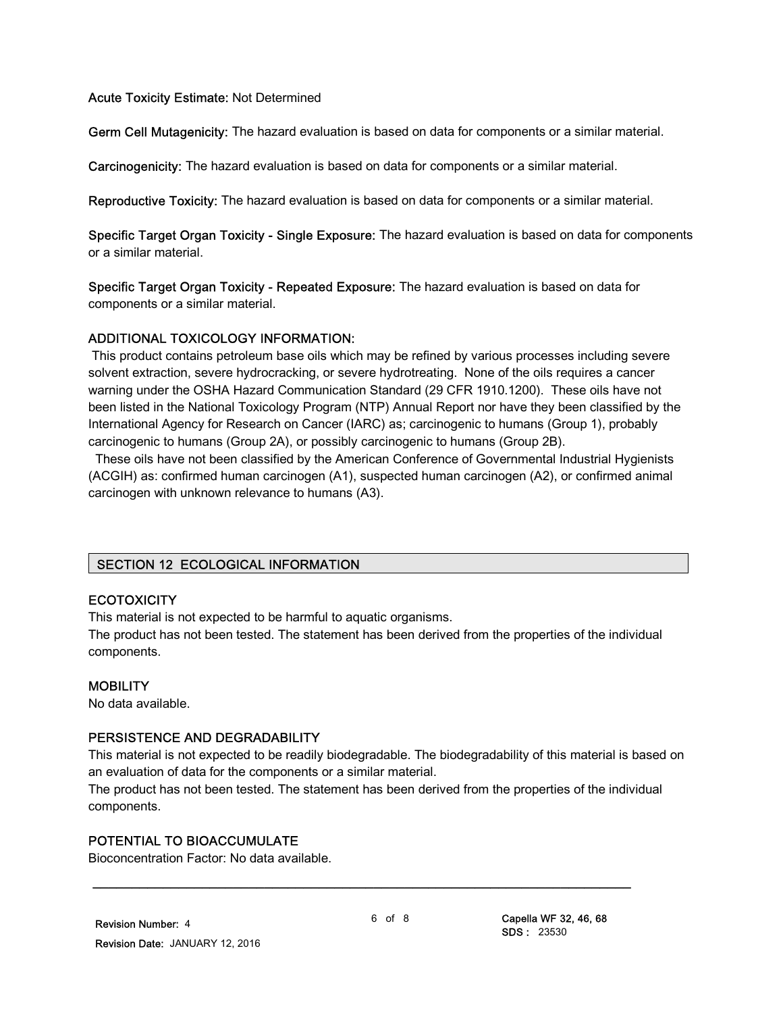#### Acute Toxicity Estimate: Not Determined

Germ Cell Mutagenicity: The hazard evaluation is based on data for components or a similar material.

Carcinogenicity: The hazard evaluation is based on data for components or a similar material.

Reproductive Toxicity: The hazard evaluation is based on data for components or a similar material.

Specific Target Organ Toxicity - Single Exposure: The hazard evaluation is based on data for components or a similar material.

Specific Target Organ Toxicity - Repeated Exposure: The hazard evaluation is based on data for components or a similar material.

#### ADDITIONAL TOXICOLOGY INFORMATION:

 This product contains petroleum base oils which may be refined by various processes including severe solvent extraction, severe hydrocracking, or severe hydrotreating. None of the oils requires a cancer warning under the OSHA Hazard Communication Standard (29 CFR 1910.1200). These oils have not been listed in the National Toxicology Program (NTP) Annual Report nor have they been classified by the International Agency for Research on Cancer (IARC) as; carcinogenic to humans (Group 1), probably carcinogenic to humans (Group 2A), or possibly carcinogenic to humans (Group 2B).

 These oils have not been classified by the American Conference of Governmental Industrial Hygienists (ACGIH) as: confirmed human carcinogen (A1), suspected human carcinogen (A2), or confirmed animal carcinogen with unknown relevance to humans (A3).

# SECTION 12 ECOLOGICAL INFORMATION

#### **ECOTOXICITY**

This material is not expected to be harmful to aquatic organisms.

The product has not been tested. The statement has been derived from the properties of the individual components.

#### **MOBILITY**

No data available.

#### PERSISTENCE AND DEGRADABILITY

This material is not expected to be readily biodegradable. The biodegradability of this material is based on an evaluation of data for the components or a similar material.

The product has not been tested. The statement has been derived from the properties of the individual components.

\_\_\_\_\_\_\_\_\_\_\_\_\_\_\_\_\_\_\_\_\_\_\_\_\_\_\_\_\_\_\_\_\_\_\_\_\_\_\_\_\_\_\_\_\_\_\_\_\_\_\_\_\_\_\_\_\_\_\_\_\_\_\_\_\_\_\_\_\_

#### POTENTIAL TO BIOACCUMULATE

Bioconcentration Factor: No data available.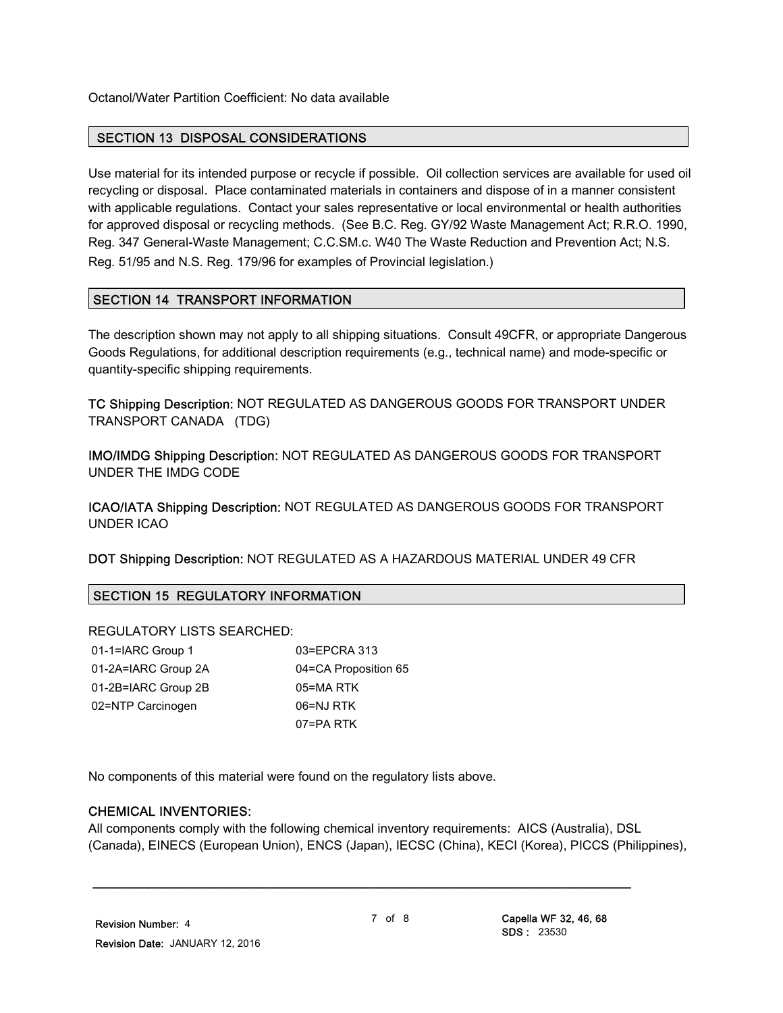Octanol/Water Partition Coefficient: No data available

#### SECTION 13 DISPOSAL CONSIDERATIONS

Use material for its intended purpose or recycle if possible. Oil collection services are available for used oil recycling or disposal. Place contaminated materials in containers and dispose of in a manner consistent with applicable regulations. Contact your sales representative or local environmental or health authorities for approved disposal or recycling methods. (See B.C. Reg. GY/92 Waste Management Act; R.R.O. 1990, Reg. 347 General-Waste Management; C.C.SM.c. W40 The Waste Reduction and Prevention Act; N.S. Reg. 51/95 and N.S. Reg. 179/96 for examples of Provincial legislation.)

#### SECTION 14 TRANSPORT INFORMATION

The description shown may not apply to all shipping situations. Consult 49CFR, or appropriate Dangerous Goods Regulations, for additional description requirements (e.g., technical name) and mode-specific or quantity-specific shipping requirements.

TC Shipping Description: NOT REGULATED AS DANGEROUS GOODS FOR TRANSPORT UNDER TRANSPORT CANADA (TDG)

IMO/IMDG Shipping Description: NOT REGULATED AS DANGEROUS GOODS FOR TRANSPORT UNDER THE IMDG CODE

ICAO/IATA Shipping Description: NOT REGULATED AS DANGEROUS GOODS FOR TRANSPORT UNDER ICAO

DOT Shipping Description: NOT REGULATED AS A HAZARDOUS MATERIAL UNDER 49 CFR

# SECTION 15 REGULATORY INFORMATION

#### REGULATORY LISTS SEARCHED:

| 01-1=IARC Group 1   | 03 |
|---------------------|----|
| 01-2A=IARC Group 2A | 04 |
| 01-2B=IARC Group 2B | 05 |
| 02=NTP Carcinogen   | 06 |
|                     |    |

 $=EPCRA 313$ =CA Proposition 65  $=$ MA RTK  $=$ NJ RTK 07=PA RTK

No components of this material were found on the regulatory lists above.

#### CHEMICAL INVENTORIES:

All components comply with the following chemical inventory requirements: AICS (Australia), DSL (Canada), EINECS (European Union), ENCS (Japan), IECSC (China), KECI (Korea), PICCS (Philippines),